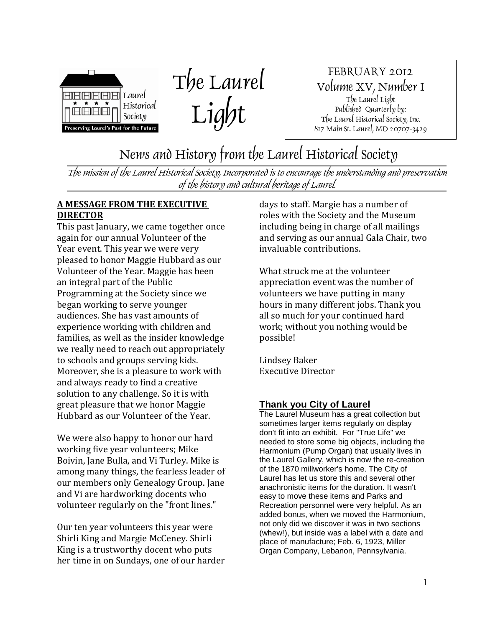



FEBRUARY 2012 Volume XV, Number I The Laurel Light Published Quarterly by: The Laurel Historical Society, Inc. 817 Main St. Laurel, MD 20707-3429

News and History from the Laurel Historical Society

The mission of the Laurel Historical Society, Incorporated is to encourage the understanding and preservation of the history and cultural heritage of Laurel.

#### **A MESSAGE FROM THE EXECUTIVE DIRECTOR**

This past January, we came together once again for our annual Volunteer of the Year event. This year we were very pleased to honor Maggie Hubbard as our Volunteer of the Year. Maggie has been an integral part of the Public Programming at the Society since we began working to serve younger audiences. She has vast amounts of experience working with children and families, as well as the insider knowledge we really need to reach out appropriately to schools and groups serving kids. Moreover, she is a pleasure to work with and always ready to find a creative solution to any challenge. So it is with great pleasure that we honor Maggie Hubbard as our Volunteer of the Year.

We were also happy to honor our hard working five year volunteers; Mike Boivin, Jane Bulla, and Vi Turley. Mike is among many things, the fearless leader of our members only Genealogy Group. Jane and Vi are hardworking docents who volunteer regularly on the "front lines."

Our ten year volunteers this year were Shirli King and Margie McCeney. Shirli King is a trustworthy docent who puts her time in on Sundays, one of our harder days to staff. Margie has a number of roles with the Society and the Museum including being in charge of all mailings and serving as our annual Gala Chair, two invaluable contributions.

What struck me at the volunteer appreciation event was the number of volunteers we have putting in many hours in many different jobs. Thank you all so much for your continued hard work; without you nothing would be possible!

Lindsey Baker Executive Director

## **Thank you City of Laurel**

The Laurel Museum has a great collection but sometimes larger items regularly on display don't fit into an exhibit. For "True Life" we needed to store some big objects, including the Harmonium (Pump Organ) that usually lives in the Laurel Gallery, which is now the re-creation of the 1870 millworker's home. The City of Laurel has let us store this and several other anachronistic items for the duration. It wasn't easy to move these items and Parks and Recreation personnel were very helpful. As an added bonus, when we moved the Harmonium, not only did we discover it was in two sections (whew!), but inside was a label with a date and place of manufacture; Feb. 6, 1923, Miller Organ Company, Lebanon, Pennsylvania.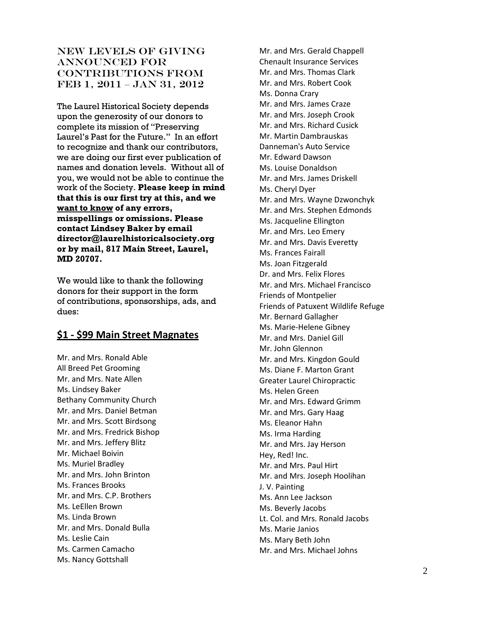#### NEW LEVELS OF GIVING ANNOUNCED FOR contributions from Feb 1, 2011 – Jan 31, 2012

The Laurel Historical Society depends upon the generosity of our donors to complete its mission of "Preserving Laurel's Past for the Future." In an effort to recognize and thank our contributors, we are doing our first ever publication of names and donation levels. Without all of you, we would not be able to continue the work of the Society. **Please keep in mind that this is our first try at this, and we want to know of any errors, misspellings or omissions. Please contact Lindsey Baker by email director@laurelhistoricalsociety.org or by mail, 817 Main Street, Laurel, MD 20707.**

We would like to thank the following donors for their support in the form of contributions, sponsorships, ads, and dues:

## **\$1 - \$99 Main Street Magnates**

Mr. and Mrs. Ronald Able All Breed Pet Grooming Mr. and Mrs. Nate Allen Ms. Lindsey Baker Bethany Community Church Mr. and Mrs. Daniel Betman Mr. and Mrs. Scott Birdsong Mr. and Mrs. Fredrick Bishop Mr. and Mrs. Jeffery Blitz Mr. Michael Boivin Ms. Muriel Bradley Mr. and Mrs. John Brinton Ms. Frances Brooks Mr. and Mrs. C.P. Brothers Ms. LeEllen Brown Ms. Linda Brown Mr. and Mrs. Donald Bulla Ms. Leslie Cain Ms. Carmen Camacho Ms. Nancy Gottshall

Mr. and Mrs. Gerald Chappell Chenault Insurance Services Mr. and Mrs. Thomas Clark Mr. and Mrs. Robert Cook Ms. Donna Crary Mr. and Mrs. James Craze Mr. and Mrs. Joseph Crook Mr. and Mrs. Richard Cusick Mr. Martin Dambrauskas Danneman's Auto Service Mr. Edward Dawson Ms. Louise Donaldson Mr. and Mrs. James Driskell Ms. Cheryl Dyer Mr. and Mrs. Wayne Dzwonchyk Mr. and Mrs. Stephen Edmonds Ms. Jacqueline Ellington Mr. and Mrs. Leo Emery Mr. and Mrs. Davis Everetty Ms. Frances Fairall Ms. Joan Fitzgerald Dr. and Mrs. Felix Flores Mr. and Mrs. Michael Francisco Friends of Montpelier Friends of Patuxent Wildlife Refuge Mr. Bernard Gallagher Ms. Marie-Helene Gibney Mr. and Mrs. Daniel Gill Mr. John Glennon Mr. and Mrs. Kingdon Gould Ms. Diane F. Marton Grant Greater Laurel Chiropractic Ms. Helen Green Mr. and Mrs. Edward Grimm Mr. and Mrs. Gary Haag Ms. Eleanor Hahn Ms. Irma Harding Mr. and Mrs. Jay Herson Hey, Red! Inc. Mr. and Mrs. Paul Hirt Mr. and Mrs. Joseph Hoolihan J. V. Painting Ms. Ann Lee Jackson Ms. Beverly Jacobs Lt. Col. and Mrs. Ronald Jacobs Ms. Marie Janios Ms. Mary Beth John Mr. and Mrs. Michael Johns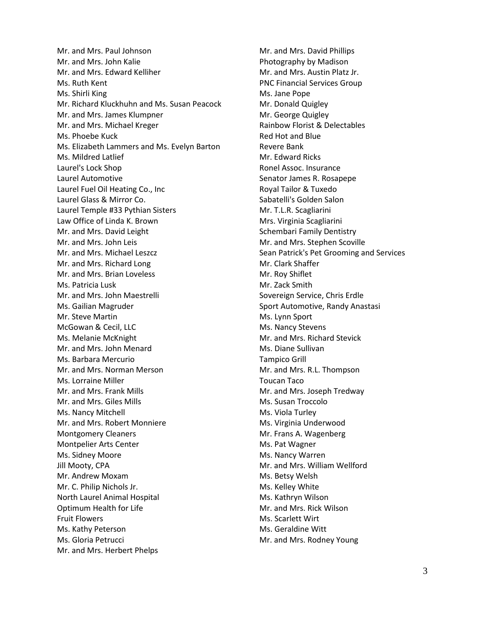Mr. and Mrs. Paul Johnson Mr. and Mrs. John Kalie Mr. and Mrs. Edward Kelliher Ms. Ruth Kent Ms. Shirli King Mr. Richard Kluckhuhn and Ms. Susan Peacock Mr. and Mrs. James Klumpner Mr. and Mrs. Michael Kreger Ms. Phoebe Kuck Ms. Elizabeth Lammers and Ms. Evelyn Barton Ms. Mildred Latlief Laurel's Lock Shop Laurel Automotive Laurel Fuel Oil Heating Co., Inc Laurel Glass & Mirror Co. Laurel Temple #33 Pythian Sisters Law Office of Linda K. Brown Mr. and Mrs. David Leight Mr. and Mrs. John Leis Mr. and Mrs. Michael Leszcz Mr. and Mrs. Richard Long Mr. and Mrs. Brian Loveless Ms. Patricia Lusk Mr. and Mrs. John Maestrelli Ms. Gailian Magruder Mr. Steve Martin McGowan & Cecil, LLC Ms. Melanie McKnight Mr. and Mrs. John Menard Ms. Barbara Mercurio Mr. and Mrs. Norman Merson Ms. Lorraine Miller Mr. and Mrs. Frank Mills Mr. and Mrs. Giles Mills Ms. Nancy Mitchell Mr. and Mrs. Robert Monniere Montgomery Cleaners Montpelier Arts Center Ms. Sidney Moore Jill Mooty, CPA Mr. Andrew Moxam Mr. C. Philip Nichols Jr. North Laurel Animal Hospital Optimum Health for Life Fruit Flowers Ms. Kathy Peterson Ms. Gloria Petrucci Mr. and Mrs. Herbert Phelps

Mr. and Mrs. David Phillips Photography by Madison Mr. and Mrs. Austin Platz Jr. PNC Financial Services Group Ms. Jane Pope Mr. Donald Quigley Mr. George Quigley Rainbow Florist & Delectables Red Hot and Blue Revere Bank Mr. Edward Ricks Ronel Assoc. Insurance Senator James R. Rosapepe Royal Tailor & Tuxedo Sabatelli's Golden Salon Mr. T.L.R. Scagliarini Mrs. Virginia Scagliarini Schembari Family Dentistry Mr. and Mrs. Stephen Scoville Sean Patrick's Pet Grooming and Services Mr. Clark Shaffer Mr. Roy Shiflet Mr. Zack Smith Sovereign Service, Chris Erdle Sport Automotive, Randy Anastasi Ms. Lynn Sport Ms. Nancy Stevens Mr. and Mrs. Richard Stevick Ms. Diane Sullivan Tampico Grill Mr. and Mrs. R.L. Thompson Toucan Taco Mr. and Mrs. Joseph Tredway Ms. Susan Troccolo Ms. Viola Turley Ms. Virginia Underwood Mr. Frans A. Wagenberg Ms. Pat Wagner Ms. Nancy Warren Mr. and Mrs. William Wellford Ms. Betsy Welsh Ms. Kelley White Ms. Kathryn Wilson Mr. and Mrs. Rick Wilson Ms. Scarlett Wirt Ms. Geraldine Witt Mr. and Mrs. Rodney Young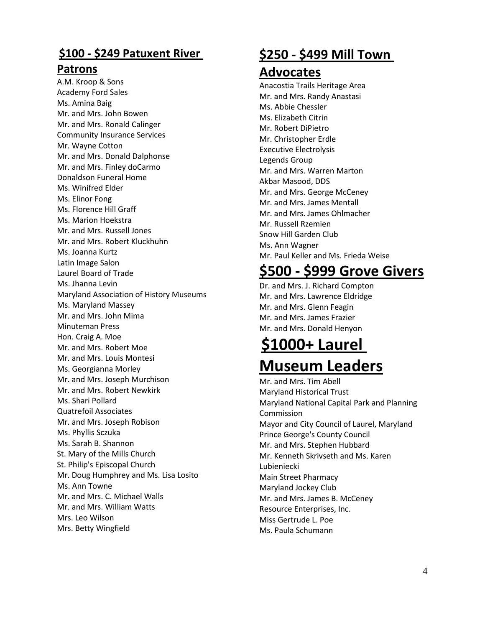# **\$100 - \$249 Patuxent River**

## **Patrons**

A.M. Kroop & Sons Academy Ford Sales Ms. Amina Baig Mr. and Mrs. John Bowen Mr. and Mrs. Ronald Calinger Community Insurance Services Mr. Wayne Cotton Mr. and Mrs. Donald Dalphonse Mr. and Mrs. Finley doCarmo Donaldson Funeral Home Ms. Winifred Elder Ms. Elinor Fong Ms. Florence Hill Graff Ms. Marion Hoekstra Mr. and Mrs. Russell Jones Mr. and Mrs. Robert Kluckhuhn Ms. Joanna Kurtz Latin Image Salon Laurel Board of Trade Ms. Jhanna Levin Maryland Association of History Museums Ms. Maryland Massey Mr. and Mrs. John Mima Minuteman Press Hon. Craig A. Moe Mr. and Mrs. Robert Moe Mr. and Mrs. Louis Montesi Ms. Georgianna Morley Mr. and Mrs. Joseph Murchison Mr. and Mrs. Robert Newkirk Ms. Shari Pollard Quatrefoil Associates Mr. and Mrs. Joseph Robison Ms. Phyllis Sczuka Ms. Sarah B. Shannon St. Mary of the Mills Church St. Philip's Episcopal Church Mr. Doug Humphrey and Ms. Lisa Losito Ms. Ann Towne Mr. and Mrs. C. Michael Walls Mr. and Mrs. William Watts Mrs. Leo Wilson Mrs. Betty Wingfield

# **\$250 - \$499 Mill Town**

# **Advocates**

Anacostia Trails Heritage Area Mr. and Mrs. Randy Anastasi Ms. Abbie Chessler Ms. Elizabeth Citrin Mr. Robert DiPietro Mr. Christopher Erdle Executive Electrolysis Legends Group Mr. and Mrs. Warren Marton Akbar Masood, DDS Mr. and Mrs. George McCeney Mr. and Mrs. James Mentall Mr. and Mrs. James Ohlmacher Mr. Russell Rzemien Snow Hill Garden Club Ms. Ann Wagner Mr. Paul Keller and Ms. Frieda Weise

# **\$500 - \$999 Grove Givers**

Dr. and Mrs. J. Richard Compton Mr. and Mrs. Lawrence Eldridge Mr. and Mrs. Glenn Feagin Mr. and Mrs. James Frazier Mr. and Mrs. Donald Henyon

# **\$1000+ Laurel Museum Leaders**

Mr. and Mrs. Tim Abell Maryland Historical Trust Maryland National Capital Park and Planning Commission Mayor and City Council of Laurel, Maryland Prince George's County Council Mr. and Mrs. Stephen Hubbard Mr. Kenneth Skrivseth and Ms. Karen Lubieniecki Main Street Pharmacy Maryland Jockey Club Mr. and Mrs. James B. McCeney Resource Enterprises, Inc. Miss Gertrude L. Poe Ms. Paula Schumann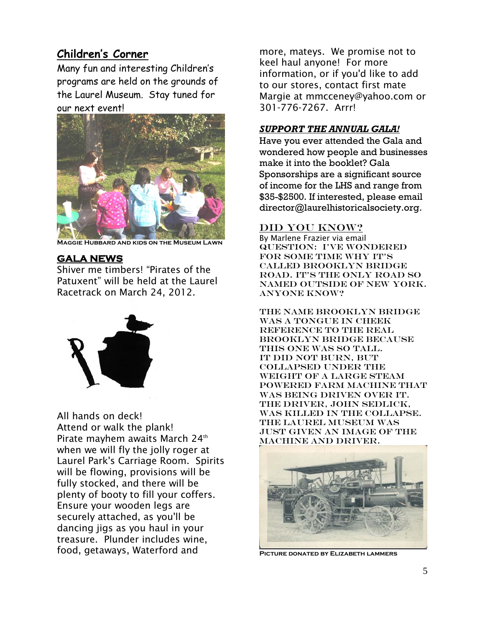# **Children's Corner**

Many fun and interesting Children's programs are held on the grounds of the Laurel Museum. Stay tuned for our next event!



**Maggie Hubbard and kids on the Museum Lawn**

#### **GALA NEWS**

Shiver me timbers! "Pirates of the Patuxent" will be held at the Laurel Racetrack on March 24, 2012.



#### All hands on deck!

Attend or walk the plank! Pirate mayhem awaits March 24<sup>th</sup> when we will fly the jolly roger at Laurel Park's Carriage Room. Spirits will be flowing, provisions will be fully stocked, and there will be plenty of booty to fill your coffers. Ensure your wooden legs are securely attached, as you'll be dancing jigs as you haul in your treasure. Plunder includes wine, food, getaways, Waterford and

more, mateys. We promise not to keel haul anyone! For more information, or if you'd like to add to our stores, contact first mate Margie at mmcceney@yahoo.com or 301-776-7267. Arrr!

#### *SUPPORT THE ANNUAL GALA!*

Have you ever attended the Gala and wondered how people and businesses make it into the booklet? Gala Sponsorships are a significant source of income for the LHS and range from \$35-\$2500. If interested, please email director@laurelhistoricalsociety.org.

#### DID YOU KNOW?

By Marlene Frazier via email Question: I've wondered FOR SOME TIME WHY IT'S called Brooklyn Bridge Road. It's the only road so named outside of New York. Anyone know?

The name Brooklyn Bridge was a tongue in cheek reference to the real Brooklyn Bridge because this one was so tall. It did not burn, but collapsed under the weight of a large steam powered farm machine that was being driven over it. The driver, John Sedlick, was killed in the collapse. the Laurel museum was just given an image of the machine and driver.



**Picture donated by Elizabeth lammers**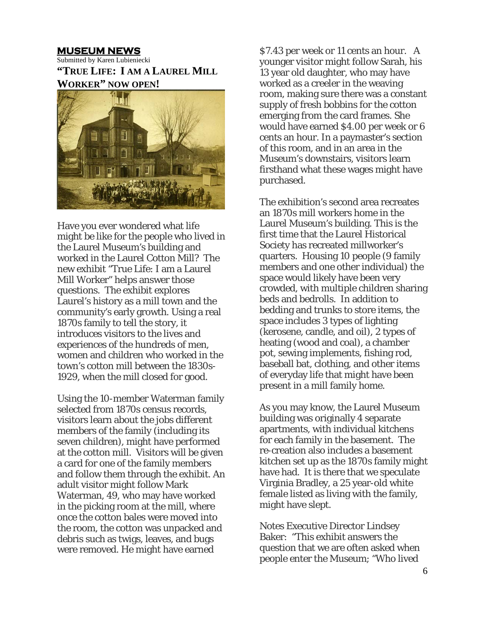#### **MUSEUM NEWS**

Submitted by Karen Lubieniecki **"TRUE LIFE: I AM A LAUREL MILL WORKER" NOW OPEN!**



Have you ever wondered what life might be like for the people who lived in the Laurel Museum's building and worked in the Laurel Cotton Mill? The new exhibit "True Life: I am a Laurel Mill Worker" helps answer those questions. The exhibit explores Laurel's history as a mill town and the community's early growth. Using a real 1870s family to tell the story, it introduces visitors to the lives and experiences of the hundreds of men, women and children who worked in the town's cotton mill between the 1830s-1929, when the mill closed for good.

Using the 10-member Waterman family selected from 1870s census records, visitors learn about the jobs different members of the family (including its seven children), might have performed at the cotton mill. Visitors will be given a card for one of the family members and follow them through the exhibit. An adult visitor might follow Mark Waterman, 49, who may have worked in the picking room at the mill, where once the cotton bales were moved into the room, the cotton was unpacked and debris such as twigs, leaves, and bugs were removed. He might have earned

\$7.43 per week or 11 cents an hour. A younger visitor might follow Sarah, his 13 year old daughter, who may have worked as a creeler in the weaving room, making sure there was a constant supply of fresh bobbins for the cotton emerging from the card frames. She would have earned \$4.00 per week or 6 cents an hour. In a paymaster's section of this room, and in an area in the Museum's downstairs, visitors learn firsthand what these wages might have purchased.

The exhibition's second area recreates an 1870s mill workers home in the Laurel Museum's building. This is the first time that the Laurel Historical Society has recreated millworker's quarters. Housing 10 people (9 family members and one other individual) the space would likely have been very crowded, with multiple children sharing beds and bedrolls. In addition to bedding and trunks to store items, the space includes 3 types of lighting (kerosene, candle, and oil), 2 types of heating (wood and coal), a chamber pot, sewing implements, fishing rod, baseball bat, clothing, and other items of everyday life that might have been present in a mill family home.

As you may know, the Laurel Museum building was originally 4 separate apartments, with individual kitchens for each family in the basement. The re-creation also includes a basement kitchen set up as the 1870s family might have had. It is there that we speculate Virginia Bradley, a 25 year-old white female listed as living with the family, might have slept.

Notes Executive Director Lindsey Baker: "This exhibit answers the question that we are often asked when people enter the Museum; "Who lived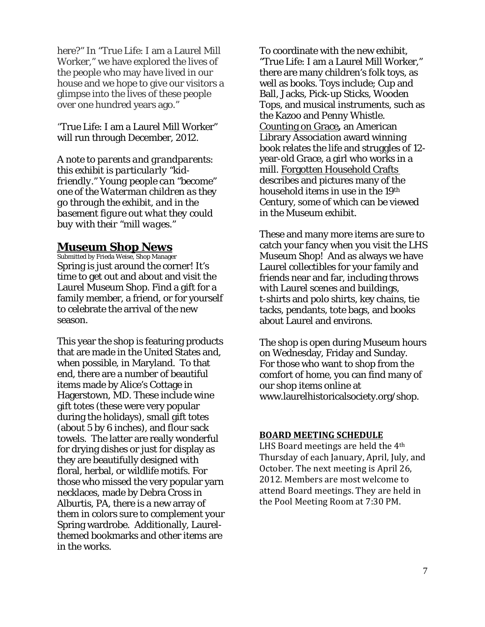here?" In "True Life: I am a Laurel Mill Worker," we have explored the lives of the people who may have lived in our house and we hope to give our visitors a glimpse into the lives of these people over one hundred years ago*.*"

*"*True Life: I am a Laurel Mill Worker" will run through December, 2012.

*A note to parents and grandparents: this exhibit is particularly "kidfriendly." Young people can "become" one of the Waterman children as they go through the exhibit, and in the basement figure out what they could buy with their "mill wages."*

## **Museum Shop News**

Submitted by Frieda Weise, Shop Manager Spring is just around the corner! It's time to get out and about and visit the Laurel Museum Shop. Find a gift for a family member, a friend, or for yourself to celebrate the arrival of the new season.

This year the shop is featuring products that are made in the United States and, when possible, in Maryland. To that end, there are a number of beautiful items made by Alice's Cottage in Hagerstown, MD. These include wine gift totes (these were very popular during the holidays), small gift totes (about 5 by 6 inches), and flour sack towels. The latter are really wonderful for drying dishes or just for display as they are beautifully designed with floral, herbal, or wildlife motifs. For those who missed the very popular yarn necklaces, made by Debra Cross in Alburtis, PA, there is a new array of them in colors sure to complement your Spring wardrobe. Additionally, Laurelthemed bookmarks and other items are in the works.

To coordinate with the new exhibit, "True Life: I am a Laurel Mill Worker," there are many children's folk toys, as well as books. Toys include; Cup and Ball, Jacks, Pick-up Sticks, Wooden Tops, and musical instruments, such as the Kazoo and Penny Whistle. Counting on Grace*,* an American Library Association award winning book relates the life and struggles of 12 year-old Grace, a girl who works in a mill. Forgotten Household Crafts describes and pictures many of the household items in use in the 19th Century, some of which can be viewed in the Museum exhibit.

These and many more items are sure to catch your fancy when you visit the LHS Museum Shop! And as always we have Laurel collectibles for your family and friends near and far, including throws with Laurel scenes and buildings, t-shirts and polo shirts, key chains, tie tacks, pendants, tote bags, and books about Laurel and environs.

The shop is open during Museum hours on Wednesday, Friday and Sunday. For those who want to shop from the comfort of home, you can find many of our shop items online at www.laurelhistoricalsociety.org/shop.

#### **BOARD MEETING SCHEDULE**

LHS Board meetings are held the 4<sup>th</sup> Thursday of each January, April, July, and October. The next meeting is April 26, 2012. Members are most welcome to attend Board meetings. They are held in the Pool Meeting Room at 7:30 PM.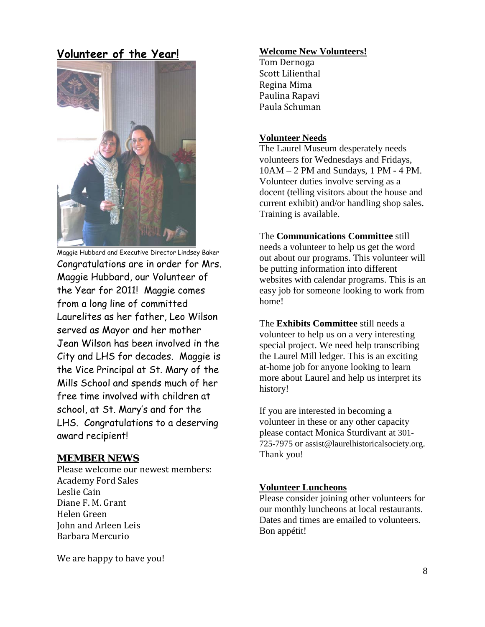## **Volunteer of the Year!**



Maggie Hubbard and Executive Director Lindsey Baker Congratulations are in order for Mrs. Maggie Hubbard, our Volunteer of the Year for 2011! Maggie comes from a long line of committed Laurelites as her father, Leo Wilson served as Mayor and her mother Jean Wilson has been involved in the City and LHS for decades. Maggie is the Vice Principal at St. Mary of the Mills School and spends much of her free time involved with children at school, at St. Mary's and for the LHS. Congratulations to a deserving award recipient!

#### **MEMBER NEWS**

Please welcome our newest members: Academy Ford Sales Leslie Cain Diane F. M. Grant Helen Green John and Arleen Leis Barbara Mercurio

We are happy to have you!

#### **Welcome New Volunteers!**

Tom Dernoga Scott Lilienthal Regina Mima Paulina Rapavi Paula Schuman

#### **Volunteer Needs**

10AM – 2 PM and Sundays, 1 PM - 4 PM. Volunteer duties involve serving as a docent (telling visitors about the house and current exhibit) and/or handling shop sales. Training is available. The Laurel Museum desperately needs volunteers for Wednesdays and Fridays,

The **Communications Committee** still needs a volunteer to help us get the word out about our programs. This volunteer will be putting information into different websites with calendar programs. This is an easy job for someone looking to work from home!

The **Exhibits Committee** still needs a volunteer to help us on a very interesting special project. We need help transcribing the Laurel Mill ledger. This is an exciting at-home job for anyone looking to learn more about Laurel and help us interpret its history!

If you are interested in becoming a volunteer in these or any other capacity please contact Monica Sturdivant at 301- 725-7975 or assist@laurelhistoricalsociety.org. Thank you!

#### **Volunteer Luncheons**

Please consider joining other volunteers for our monthly luncheons at local restaurants. Dates and times are emailed to volunteers. Bon appétit!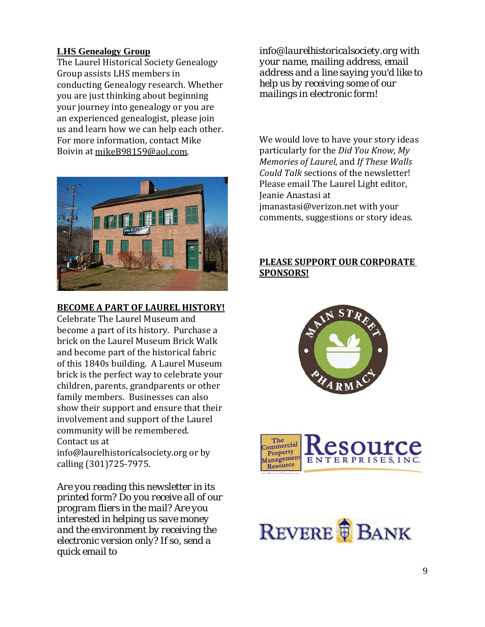#### **LHS Genealogy Group**

The Laurel Historical Society Genealogy Group assists LHS members in conducting Genealogy research. Whether you are just thinking about beginning your journey into genealogy or you are an experienced genealogist, please join us and learn how we can help each other. For more information, contact Mike Boivin at <u>mikeB98159@aol.com</u>.



#### **BECOME A PART OF LAUREL HISTORY!**

Celebrate The Laurel Museum and become a part of its history. Purchase a brick on the Laurel Museum Brick Walk and become part of the historical fabric of this 1840s building. A Laurel Museum brick is the perfect way to celebrate your children, parents, grandparents or other family members. Businesses can also show their support and ensure that their involvement and support of the Laurel community will be remembered. Contact us at

info@laurelhistoricalsociety.org or by calling (301)725-7975.

*Are you reading this newsletter in its printed form? Do you receive all of our program fliers in the mail? Are you interested in helping us save money and the environment by receiving the electronic version only? If so, send a quick email to* 

*info@laurelhistoricalsociety.org with your name, mailing address, email address and a line saying you'd like to help us by receiving some of our mailings in electronic form!*

We would love to have your story ideas particularly for the *Did You Know, My Memories of Laurel*, and *If These Walls Could Talk* sections of the newsletter! Please email The Laurel Light editor, Jeanie Anastasi at jmanastasi@verizon.net with your comments, suggestions or story ideas.

### **PLEASE SUPPORT OUR CORPORATE SPONSORS!**





# REVERE **BANK**